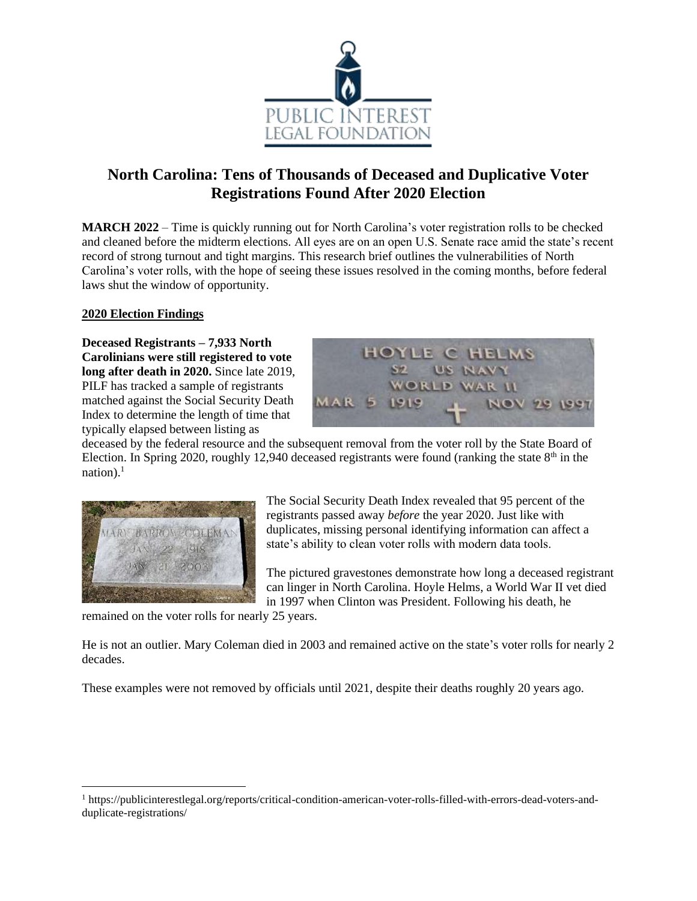

## **North Carolina: Tens of Thousands of Deceased and Duplicative Voter Registrations Found After 2020 Election**

**MARCH 2022** – Time is quickly running out for North Carolina's voter registration rolls to be checked and cleaned before the midterm elections. All eyes are on an open U.S. Senate race amid the state's recent record of strong turnout and tight margins. This research brief outlines the vulnerabilities of North Carolina's voter rolls, with the hope of seeing these issues resolved in the coming months, before federal laws shut the window of opportunity.

## **2020 Election Findings**

**Deceased Registrants – 7,933 North Carolinians were still registered to vote long after death in 2020.** Since late 2019, PILF has tracked a sample of registrants matched against the Social Security Death Index to determine the length of time that typically elapsed between listing as



deceased by the federal resource and the subsequent removal from the voter roll by the State Board of Election. In Spring 2020, roughly 12,940 deceased registrants were found (ranking the state  $8<sup>th</sup>$  in the nation). $<sup>1</sup>$ </sup>



The Social Security Death Index revealed that 95 percent of the registrants passed away *before* the year 2020. Just like with duplicates, missing personal identifying information can affect a state's ability to clean voter rolls with modern data tools.

The pictured gravestones demonstrate how long a deceased registrant can linger in North Carolina. Hoyle Helms, a World War II vet died in 1997 when Clinton was President. Following his death, he

remained on the voter rolls for nearly 25 years.

He is not an outlier. Mary Coleman died in 2003 and remained active on the state's voter rolls for nearly 2 decades.

These examples were not removed by officials until 2021, despite their deaths roughly 20 years ago.

<sup>1</sup> https://publicinterestlegal.org/reports/critical-condition-american-voter-rolls-filled-with-errors-dead-voters-andduplicate-registrations/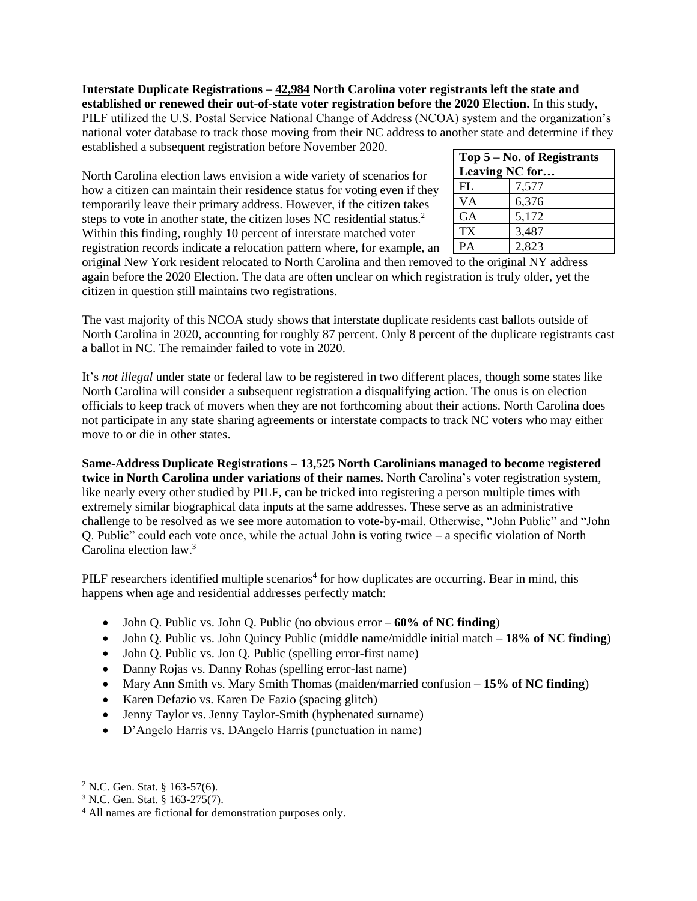**Interstate Duplicate Registrations – 42,984 North Carolina voter registrants left the state and established or renewed their out-of-state voter registration before the 2020 Election.** In this study, PILF utilized the U.S. Postal Service National Change of Address (NCOA) system and the organization's national voter database to track those moving from their NC address to another state and determine if they established a subsequent registration before November 2020.

North Carolina election laws envision a wide variety of scenarios for how a citizen can maintain their residence status for voting even if they temporarily leave their primary address. However, if the citizen takes steps to vote in another state, the citizen loses NC residential status.<sup>2</sup> Within this finding, roughly 10 percent of interstate matched voter registration records indicate a relocation pattern where, for example, an

| Top 5 – No. of Registrants |       |
|----------------------------|-------|
| Leaving NC for             |       |
| FL                         | 7,577 |
| VA                         | 6,376 |
| GA                         | 5,172 |
| TХ                         | 3,487 |
| PА                         | 2,823 |

original New York resident relocated to North Carolina and then removed to the original NY address again before the 2020 Election. The data are often unclear on which registration is truly older, yet the citizen in question still maintains two registrations.

The vast majority of this NCOA study shows that interstate duplicate residents cast ballots outside of North Carolina in 2020, accounting for roughly 87 percent. Only 8 percent of the duplicate registrants cast a ballot in NC. The remainder failed to vote in 2020.

It's *not illegal* under state or federal law to be registered in two different places, though some states like North Carolina will consider a subsequent registration a disqualifying action. The onus is on election officials to keep track of movers when they are not forthcoming about their actions. North Carolina does not participate in any state sharing agreements or interstate compacts to track NC voters who may either move to or die in other states.

**Same-Address Duplicate Registrations – 13,525 North Carolinians managed to become registered twice in North Carolina under variations of their names.** North Carolina's voter registration system, like nearly every other studied by PILF, can be tricked into registering a person multiple times with extremely similar biographical data inputs at the same addresses. These serve as an administrative challenge to be resolved as we see more automation to vote-by-mail. Otherwise, "John Public" and "John Q. Public" could each vote once, while the actual John is voting twice – a specific violation of North Carolina election law.<sup>3</sup>

PILF researchers identified multiple scenarios<sup>4</sup> for how duplicates are occurring. Bear in mind, this happens when age and residential addresses perfectly match:

- John Q. Public vs. John Q. Public (no obvious error **60% of NC finding**)
- John Q. Public vs. John Quincy Public (middle name/middle initial match **18% of NC finding**)
- John Q. Public vs. Jon Q. Public (spelling error-first name)
- Danny Rojas vs. Danny Rohas (spelling error-last name)
- Mary Ann Smith vs. Mary Smith Thomas (maiden/married confusion **15% of NC finding**)
- Karen Defazio vs. Karen De Fazio (spacing glitch)
- Jenny Taylor vs. Jenny Taylor-Smith (hyphenated surname)
- D'Angelo Harris vs. DAngelo Harris (punctuation in name)

<sup>2</sup> N.C. Gen. Stat. § 163-57(6).

<sup>3</sup> N.C. Gen. Stat. § 163-275(7).

<sup>4</sup> All names are fictional for demonstration purposes only.